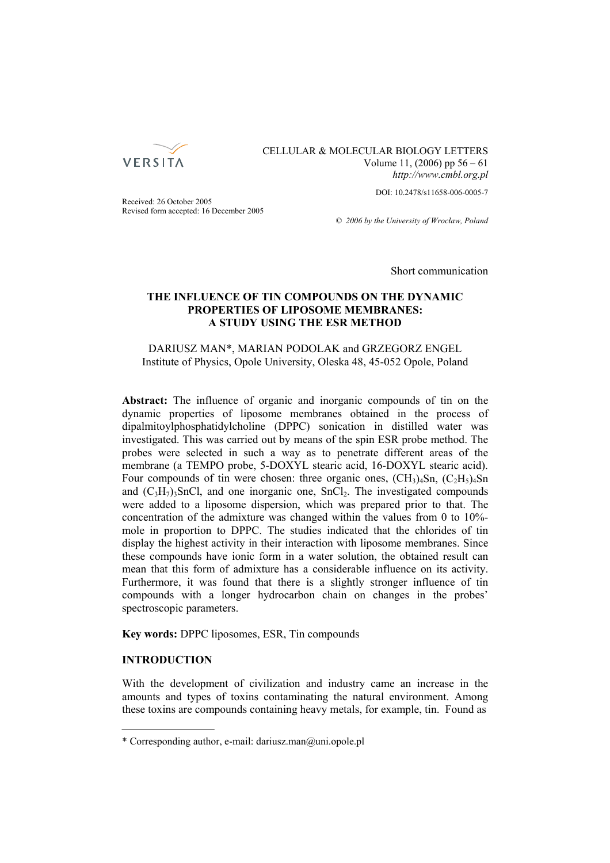

## CELLULAR & MOLECULAR BIOLOGY LETTERS Volume 11, (2006) pp 56 – 61 *http://www.cmbl.org.pl*

DOI: 10.2478/s11658-006-0005-7

Received: 26 October 2005 Revised form accepted: 16 December 2005

*© 2006 by the University of Wrocław, Poland*

Short communication

# **THE INFLUENCE OF TIN COMPOUNDS ON THE DYNAMIC PROPERTIES OF LIPOSOME MEMBRANES: A STUDY USING THE ESR METHOD**

## DARIUSZ MAN\*, MARIAN PODOLAK and GRZEGORZ ENGEL Institute of Physics, Opole University, Oleska 48, 45-052 Opole, Poland

**Abstract:** The influence of organic and inorganic compounds of tin on the dynamic properties of liposome membranes obtained in the process of dipalmitoylphosphatidylcholine (DPPC) sonication in distilled water was investigated. This was carried out by means of the spin ESR probe method. The probes were selected in such a way as to penetrate different areas of the membrane (a TEMPO probe, 5-DOXYL stearic acid, 16-DOXYL stearic acid). Four compounds of tin were chosen: three organic ones,  $(CH_3)_4Sn$ ,  $(C_2H_5)_4Sn$ and  $(C_3H_7)$ <sub>3</sub>SnCl, and one inorganic one, SnCl<sub>2</sub>. The investigated compounds were added to a liposome dispersion, which was prepared prior to that. The concentration of the admixture was changed within the values from 0 to 10% mole in proportion to DPPC. The studies indicated that the chlorides of tin display the highest activity in their interaction with liposome membranes. Since these compounds have ionic form in a water solution, the obtained result can mean that this form of admixture has a considerable influence on its activity. Furthermore, it was found that there is a slightly stronger influence of tin compounds with a longer hydrocarbon chain on changes in the probes' spectroscopic parameters.

**Key words:** DPPC liposomes, ESR, Tin compounds

## **INTRODUCTION**

With the development of civilization and industry came an increase in the amounts and types of toxins contaminating the natural environment. Among these toxins are compounds containing heavy metals, for example, tin. Found as

<sup>\*</sup> Corresponding author, e-mail: dariusz.man@uni.opole.pl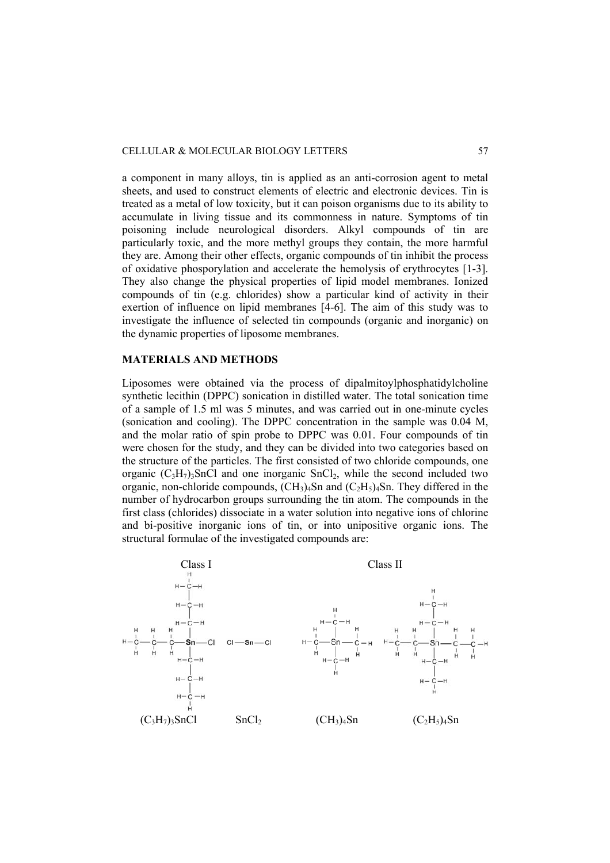a component in many alloys, tin is applied as an anti-corrosion agent to metal sheets, and used to construct elements of electric and electronic devices. Tin is treated as a metal of low toxicity, but it can poison organisms due to its ability to accumulate in living tissue and its commonness in nature. Symptoms of tin poisoning include neurological disorders. Alkyl compounds of tin are particularly toxic, and the more methyl groups they contain, the more harmful they are. Among their other effects, organic compounds of tin inhibit the process of oxidative phosporylation and accelerate the hemolysis of erythrocytes [1-3]. They also change the physical properties of lipid model membranes. Ionized compounds of tin (e.g. chlorides) show a particular kind of activity in their exertion of influence on lipid membranes [4-6]. The aim of this study was to investigate the influence of selected tin compounds (organic and inorganic) on the dynamic properties of liposome membranes.

#### **MATERIALS AND METHODS**

Liposomes were obtained via the process of dipalmitoylphosphatidylcholine synthetic lecithin (DPPC) sonication in distilled water. The total sonication time of a sample of 1.5 ml was 5 minutes, and was carried out in one-minute cycles (sonication and cooling). The DPPC concentration in the sample was 0.04 M, and the molar ratio of spin probe to DPPC was 0.01. Four compounds of tin were chosen for the study, and they can be divided into two categories based on the structure of the particles. The first consisted of two chloride compounds, one organic  $(C_3H_7)$ <sub>3</sub>SnCl and one inorganic SnCl<sub>2</sub>, while the second included two organic, non-chloride compounds,  $(CH_3)_4$ Sn and  $(C_2H_5)_4$ Sn. They differed in the number of hydrocarbon groups surrounding the tin atom. The compounds in the first class (chlorides) dissociate in a water solution into negative ions of chlorine and bi-positive inorganic ions of tin, or into unipositive organic ions. The structural formulae of the investigated compounds are:

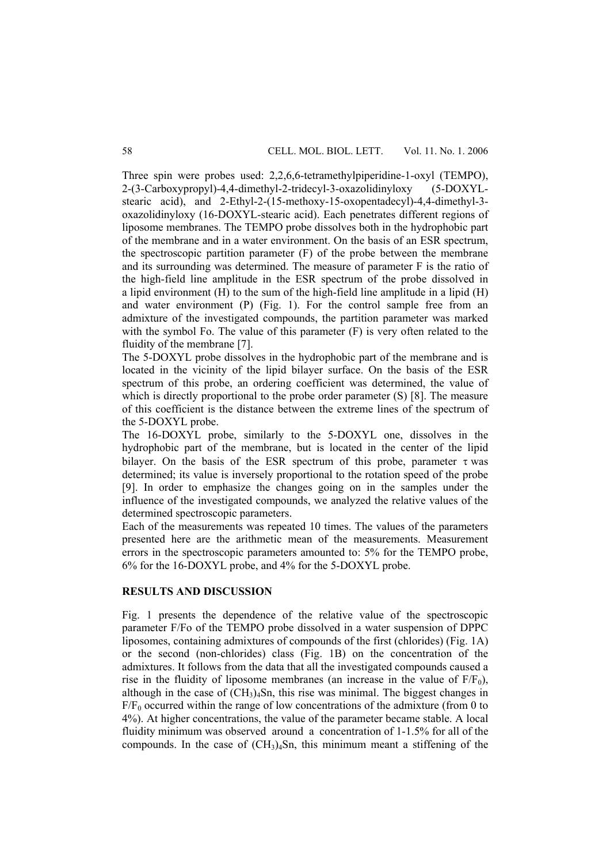Three spin were probes used: 2,2,6,6-tetramethylpiperidine-1-oxyl (TEMPO), 2-(3-Carboxypropyl)-4,4-dimethyl-2-tridecyl-3-oxazolidinyloxy (5-DOXYLstearic acid), and 2-Ethyl-2-(15-methoxy-15-oxopentadecyl)-4,4-dimethyl-3 oxazolidinyloxy (16-DOXYL-stearic acid). Each penetrates different regions of liposome membranes. The TEMPO probe dissolves both in the hydrophobic part of the membrane and in a water environment. On the basis of an ESR spectrum, the spectroscopic partition parameter (F) of the probe between the membrane and its surrounding was determined. The measure of parameter F is the ratio of the high-field line amplitude in the ESR spectrum of the probe dissolved in a lipid environment (H) to the sum of the high-field line amplitude in a lipid (H) and water environment (P) (Fig. 1). For the control sample free from an admixture of the investigated compounds, the partition parameter was marked with the symbol Fo. The value of this parameter (F) is very often related to the fluidity of the membrane [7].

The 5-DOXYL probe dissolves in the hydrophobic part of the membrane and is located in the vicinity of the lipid bilayer surface. On the basis of the ESR spectrum of this probe, an ordering coefficient was determined, the value of which is directly proportional to the probe order parameter (S) [8]. The measure of this coefficient is the distance between the extreme lines of the spectrum of the 5-DOXYL probe.

The 16-DOXYL probe, similarly to the 5-DOXYL one, dissolves in the hydrophobic part of the membrane, but is located in the center of the lipid bilayer. On the basis of the ESR spectrum of this probe, parameter  $\tau$  was determined; its value is inversely proportional to the rotation speed of the probe [9]. In order to emphasize the changes going on in the samples under the influence of the investigated compounds, we analyzed the relative values of the determined spectroscopic parameters.

Each of the measurements was repeated 10 times. The values of the parameters presented here are the arithmetic mean of the measurements. Measurement errors in the spectroscopic parameters amounted to: 5% for the TEMPO probe, 6% for the 16-DOXYL probe, and 4% for the 5-DOXYL probe.

## **RESULTS AND DISCUSSION**

Fig. 1 presents the dependence of the relative value of the spectroscopic parameter F/Fo of the TEMPO probe dissolved in a water suspension of DPPC liposomes, containing admixtures of compounds of the first (chlorides) (Fig. 1A) or the second (non-chlorides) class (Fig. 1B) on the concentration of the admixtures. It follows from the data that all the investigated compounds caused a rise in the fluidity of liposome membranes (an increase in the value of  $F/F_0$ ), although in the case of  $(CH_3)_4$ Sn, this rise was minimal. The biggest changes in  $F/F_0$  occurred within the range of low concentrations of the admixture (from 0 to 4%). At higher concentrations, the value of the parameter became stable. A local fluidity minimum was observed around a concentration of 1-1.5% for all of the compounds. In the case of  $(CH_3)_4$ Sn, this minimum meant a stiffening of the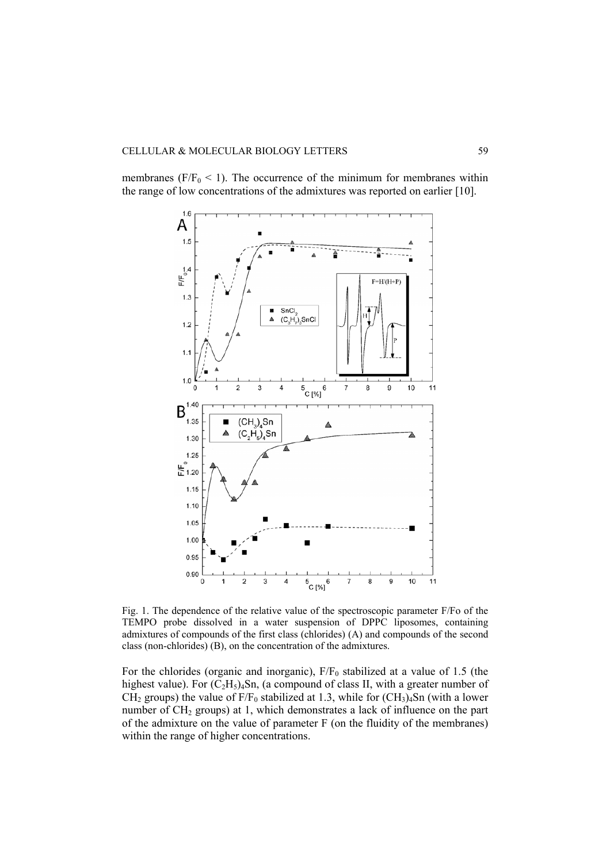membranes ( $F/F_0 < 1$ ). The occurrence of the minimum for membranes within the range of low concentrations of the admixtures was reported on earlier [10].



Fig. 1. The dependence of the relative value of the spectroscopic parameter F/Fo of the TEMPO probe dissolved in a water suspension of DPPC liposomes, containing admixtures of compounds of the first class (chlorides) (A) and compounds of the second class (non-chlorides) (B), on the concentration of the admixtures.

For the chlorides (organic and inorganic),  $F/F_0$  stabilized at a value of 1.5 (the highest value). For  $(C_2H_5)_4$ Sn, (a compound of class II, with a greater number of  $CH<sub>2</sub>$  groups) the value of F/F<sub>0</sub> stabilized at 1.3, while for  $(CH<sub>3</sub>)<sub>4</sub>Sn$  (with a lower number of CH<sub>2</sub> groups) at 1, which demonstrates a lack of influence on the part of the admixture on the value of parameter F (on the fluidity of the membranes) within the range of higher concentrations.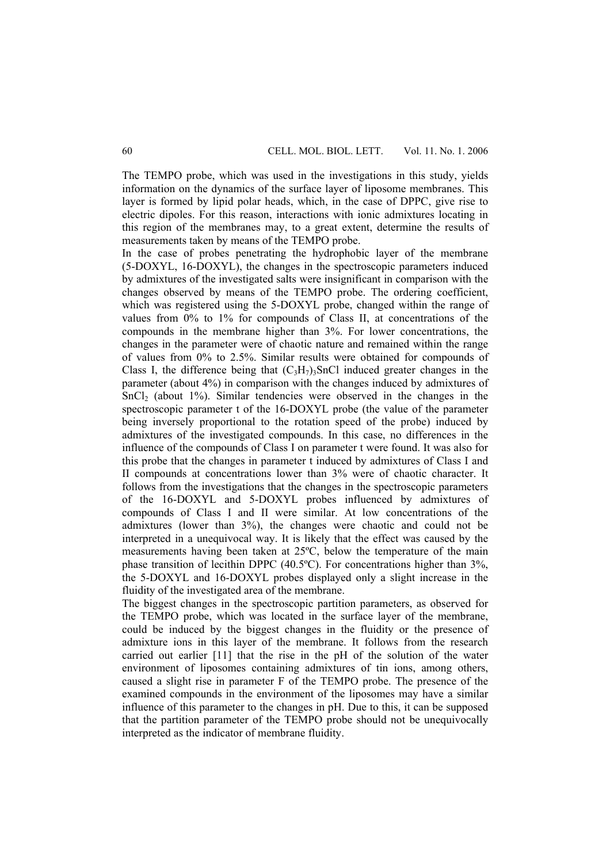The TEMPO probe, which was used in the investigations in this study, yields information on the dynamics of the surface layer of liposome membranes. This layer is formed by lipid polar heads, which, in the case of DPPC, give rise to electric dipoles. For this reason, interactions with ionic admixtures locating in this region of the membranes may, to a great extent, determine the results of measurements taken by means of the TEMPO probe.

In the case of probes penetrating the hydrophobic layer of the membrane (5-DOXYL, 16-DOXYL), the changes in the spectroscopic parameters induced by admixtures of the investigated salts were insignificant in comparison with the changes observed by means of the TEMPO probe. The ordering coefficient, which was registered using the 5-DOXYL probe, changed within the range of values from 0% to 1% for compounds of Class II, at concentrations of the compounds in the membrane higher than 3%. For lower concentrations, the changes in the parameter were of chaotic nature and remained within the range of values from 0% to 2.5%. Similar results were obtained for compounds of Class I, the difference being that  $(C_3H_7)$ <sub>3</sub>SnCl induced greater changes in the parameter (about 4%) in comparison with the changes induced by admixtures of  $SnCl<sub>2</sub>$  (about 1%). Similar tendencies were observed in the changes in the spectroscopic parameter t of the 16-DOXYL probe (the value of the parameter being inversely proportional to the rotation speed of the probe) induced by admixtures of the investigated compounds. In this case, no differences in the influence of the compounds of Class I on parameter t were found. It was also for this probe that the changes in parameter t induced by admixtures of Class I and II compounds at concentrations lower than 3% were of chaotic character. It follows from the investigations that the changes in the spectroscopic parameters of the 16-DOXYL and 5-DOXYL probes influenced by admixtures of compounds of Class I and II were similar. At low concentrations of the admixtures (lower than 3%), the changes were chaotic and could not be interpreted in a unequivocal way. It is likely that the effect was caused by the measurements having been taken at 25ºC, below the temperature of the main phase transition of lecithin DPPC (40.5ºC). For concentrations higher than 3%, the 5-DOXYL and 16-DOXYL probes displayed only a slight increase in the fluidity of the investigated area of the membrane.

The biggest changes in the spectroscopic partition parameters, as observed for the TEMPO probe, which was located in the surface layer of the membrane, could be induced by the biggest changes in the fluidity or the presence of admixture ions in this layer of the membrane. It follows from the research carried out earlier [11] that the rise in the pH of the solution of the water environment of liposomes containing admixtures of tin ions, among others, caused a slight rise in parameter F of the TEMPO probe. The presence of the examined compounds in the environment of the liposomes may have a similar influence of this parameter to the changes in pH. Due to this, it can be supposed that the partition parameter of the TEMPO probe should not be unequivocally interpreted as the indicator of membrane fluidity.